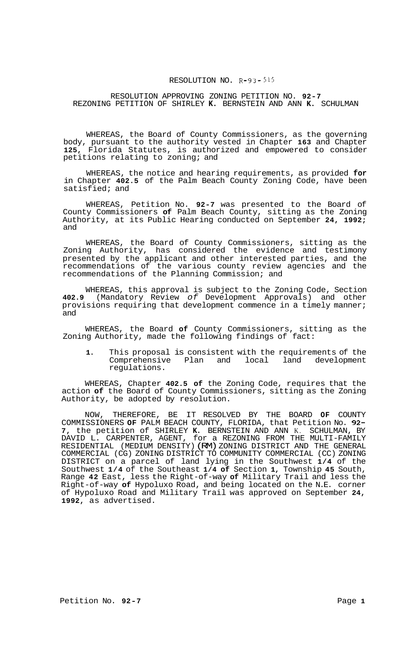## RESOLUTION NO. **R-93-515**

## RESOLUTION APPROVING ZONING PETITION NO. **92-7**  REZONING PETITION OF SHIRLEY **K.** BERNSTEIN AND ANN **K.** SCHULMAN

WHEREAS, the Board of County Commissioners, as the governing body, pursuant to the authority vested in Chapter **163** and Chapter **125,** Florida Statutes, is authorized and empowered to consider petitions relating to zoning; and

WHEREAS, the notice and hearing requirements, as provided **for**  in Chapter **402.5** of the Palm Beach County Zoning Code, have been satisfied; and

WHEREAS, Petition No. **92-7** was presented to the Board of County Commissioners **of** Palm Beach County, sitting as the Zoning Authority, at its Public Hearing conducted on September **24, 1992;**  and

WHEREAS, the Board of County Commissioners, sitting as the Zoning Authority, has considered the evidence and testimony presented by the applicant and other interested parties, and the recommendations of the various county review agencies and the recommendations of the Planning Commission; and

WHEREAS, this approval is subject to the Zoning Code, Section **402.9** (Mandatory Review *of* Development Approvals) and other provisions requiring that development commence in a timely manner; and

WHEREAS, the Board **of** County Commissioners, sitting as the Zoning Authority, made the following findings of fact:

**1.** This proposal is consistent with the requirements of the Comprehensive Plan and local land development regulations.

WHEREAS, Chapter **402.5 of** the Zoning Code, requires that the action **of** the Board of County Commissioners, sitting as the Zoning Authority, be adopted by resolution.

NOW, THEREFORE, BE IT RESOLVED BY THE BOARD **OF** COUNTY COMMISSIONERS **OF** PALM BEACH COUNTY, FLORIDA, that Petition No. **92- 7,** the petition of SHIRLEY **K.** BERNSTEIN AND ANN K. SCHULMAN, BY DAVID L. CARPENTER, AGENT, for a REZONING FROM THE MULTI-FAMILY RESIDENTIAL (MEDIUM DENSITY) (RM) ZONING DISTRICT AND THE GENERAL COMMERCIAL (CG) ZONING DISTRICT TO COMMUNITY COMMERCIAL (CC) ZONING DISTRICT on a parcel of land lying in the Southwest **1/4** of the Southwest **1/4** of the Southeast **1/4 of** Section **1,** Township **45** South, Range **42** East, less the Right-of-way **of** Military Trail and less the Right-of-way **of** Hypoluxo Road, and being located on the N.E. corner of Hypoluxo Road and Military Trail was approved on September **24, 1992,** as advertised.